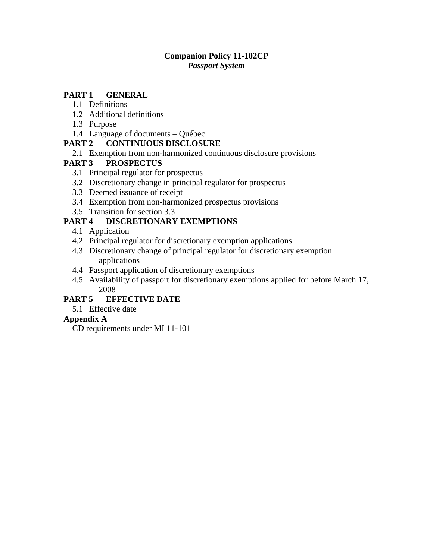#### **Companion Policy 11-102CP**  *Passport System*

#### **PART 1 [GENERAL](#page-1-0)**

- [1.1 Definitions](#page-1-0)
- [1.2 Additional definitions](#page-1-0)
- [1.3 Purpose](#page-1-0)
- [1.4 Language of documents Québec](#page-3-0)

### **PART 2 [CONTINUOUS DISCLOSURE](#page-3-0)**

[2.1 Exemption from non-harmonized continuous disclosure provisions](#page-3-0)

### **PART 3 [PROSPECTUS](#page-4-0)**

- [3.1 Principal regulator for prospectus](#page-4-0)
- [3.2 Discretionary change in principal regulator for prospectus](#page-4-0)
- [3.3 Deemed issuance of receipt](#page-4-0)
- [3.4 Exemption from non-harmonized prospectus provisions](#page-5-0)
- [3.5 Transition for section 3.3](#page-5-0)

## **PART 4 [DISCRETIONARY EXEMPTIONS](#page-6-0)**

- [4.1 Application](#page-6-0)
- [4.2 Principal regulator for discretionary exemption applications](#page-6-0)
- [4.3 Discretionary change of principal regulator for discretionary exemption](#page-6-0)  [applications](#page-6-0)
- [4.4 Passport application of discretionary exemptions](#page-6-0)
- [4.5 Availability of passport for discretionary exemptions applied for before March 17,](#page-7-0)  [2008](#page-7-0)

## **PART 5 [EFFECTIVE DATE](#page-8-0)**

[5.1 Effective date](#page-8-0)

### **[Appendix A](#page-9-0)**

[CD requirements under MI 11-101](#page-9-0)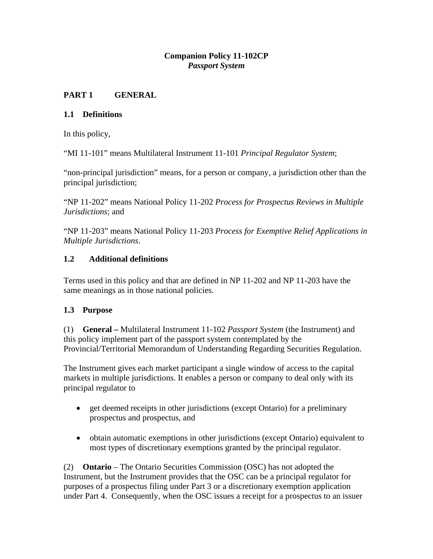### **Companion Policy 11-102CP**  *Passport System*

# <span id="page-1-0"></span>**PART 1 GENERAL**

## **1.1 Definitions**

In this policy,

"MI 11-101" means Multilateral Instrument 11-101 *Principal Regulator System*;

"non-principal jurisdiction" means, for a person or company, a jurisdiction other than the principal jurisdiction;

"NP 11-202" means National Policy 11-202 *Process for Prospectus Reviews in Multiple Jurisdictions*; and

"NP 11-203" means National Policy 11-203 *Process for Exemptive Relief Applications in Multiple Jurisdictions*.

### **1.2 Additional definitions**

Terms used in this policy and that are defined in NP 11-202 and NP 11-203 have the same meanings as in those national policies.

## **1.3 Purpose**

(1) **General –** Multilateral Instrument 11-102 *Passport System* (the Instrument) and this policy implement part of the passport system contemplated by the Provincial/Territorial Memorandum of Understanding Regarding Securities Regulation.

The Instrument gives each market participant a single window of access to the capital markets in multiple jurisdictions. It enables a person or company to deal only with its principal regulator to

- get deemed receipts in other jurisdictions (except Ontario) for a preliminary prospectus and prospectus, and
- obtain automatic exemptions in other jurisdictions (except Ontario) equivalent to most types of discretionary exemptions granted by the principal regulator.

(2) **Ontario** – The Ontario Securities Commission (OSC) has not adopted the Instrument, but the Instrument provides that the OSC can be a principal regulator for purposes of a prospectus filing under Part 3 or a discretionary exemption application under Part 4. Consequently, when the OSC issues a receipt for a prospectus to an issuer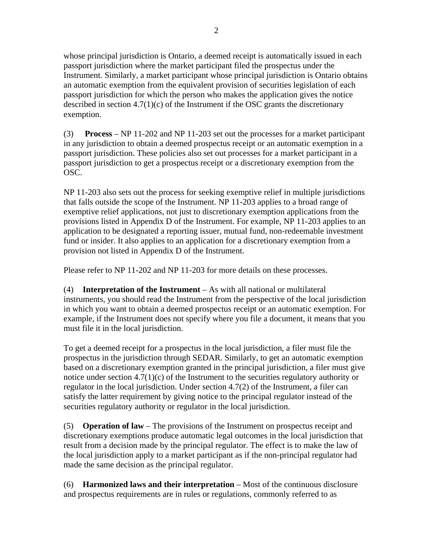whose principal jurisdiction is Ontario, a deemed receipt is automatically issued in each passport jurisdiction where the market participant filed the prospectus under the Instrument. Similarly, a market participant whose principal jurisdiction is Ontario obtains an automatic exemption from the equivalent provision of securities legislation of each passport jurisdiction for which the person who makes the application gives the notice described in section 4.7(1)(c) of the Instrument if the OSC grants the discretionary exemption.

(3) **Process** – NP 11-202 and NP 11-203 set out the processes for a market participant in any jurisdiction to obtain a deemed prospectus receipt or an automatic exemption in a passport jurisdiction. These policies also set out processes for a market participant in a passport jurisdiction to get a prospectus receipt or a discretionary exemption from the OSC.

NP 11-203 also sets out the process for seeking exemptive relief in multiple jurisdictions that falls outside the scope of the Instrument. NP 11-203 applies to a broad range of exemptive relief applications, not just to discretionary exemption applications from the provisions listed in Appendix D of the Instrument. For example, NP 11-203 applies to an application to be designated a reporting issuer, mutual fund, non-redeemable investment fund or insider. It also applies to an application for a discretionary exemption from a provision not listed in Appendix D of the Instrument.

Please refer to NP 11-202 and NP 11-203 for more details on these processes.

(4) **Interpretation of the Instrument** – As with all national or multilateral instruments, you should read the Instrument from the perspective of the local jurisdiction in which you want to obtain a deemed prospectus receipt or an automatic exemption. For example, if the Instrument does not specify where you file a document, it means that you must file it in the local jurisdiction.

To get a deemed receipt for a prospectus in the local jurisdiction, a filer must file the prospectus in the jurisdiction through SEDAR. Similarly, to get an automatic exemption based on a discretionary exemption granted in the principal jurisdiction, a filer must give notice under section 4.7(1)(c) of the Instrument to the securities regulatory authority or regulator in the local jurisdiction. Under section 4.7(2) of the Instrument, a filer can satisfy the latter requirement by giving notice to the principal regulator instead of the securities regulatory authority or regulator in the local jurisdiction.

(5) **Operation of law** – The provisions of the Instrument on prospectus receipt and discretionary exemptions produce automatic legal outcomes in the local jurisdiction that result from a decision made by the principal regulator. The effect is to make the law of the local jurisdiction apply to a market participant as if the non-principal regulator had made the same decision as the principal regulator.

(6) **Harmonized laws and their interpretation** – Most of the continuous disclosure and prospectus requirements are in rules or regulations, commonly referred to as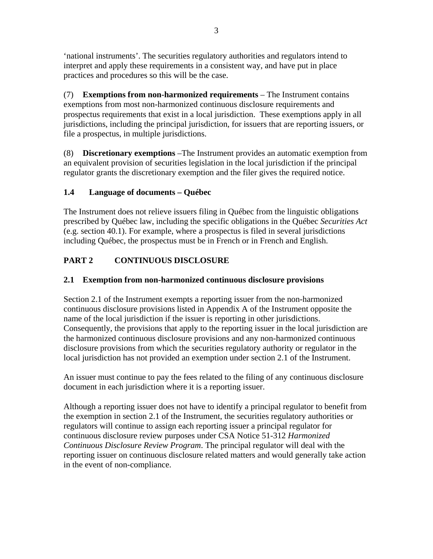<span id="page-3-0"></span>'national instruments'. The securities regulatory authorities and regulators intend to interpret and apply these requirements in a consistent way, and have put in place practices and procedures so this will be the case.

(7) **Exemptions from non-harmonized requirements** – The Instrument contains exemptions from most non-harmonized continuous disclosure requirements and prospectus requirements that exist in a local jurisdiction. These exemptions apply in all jurisdictions, including the principal jurisdiction, for issuers that are reporting issuers, or file a prospectus, in multiple jurisdictions.

(8) **Discretionary exemptions** –The Instrument provides an automatic exemption from an equivalent provision of securities legislation in the local jurisdiction if the principal regulator grants the discretionary exemption and the filer gives the required notice.

# **1.4 Language of documents – Québec**

The Instrument does not relieve issuers filing in Québec from the linguistic obligations prescribed by Québec law, including the specific obligations in the Québec *Securities Act*  (e.g. section 40.1). For example, where a prospectus is filed in several jurisdictions including Québec, the prospectus must be in French or in French and English.

# **PART 2 CONTINUOUS DISCLOSURE**

# **2.1 Exemption from non-harmonized continuous disclosure provisions**

Section 2.1 of the Instrument exempts a reporting issuer from the non-harmonized continuous disclosure provisions listed in Appendix A of the Instrument opposite the name of the local jurisdiction if the issuer is reporting in other jurisdictions. Consequently, the provisions that apply to the reporting issuer in the local jurisdiction are the harmonized continuous disclosure provisions and any non-harmonized continuous disclosure provisions from which the securities regulatory authority or regulator in the local jurisdiction has not provided an exemption under section 2.1 of the Instrument.

An issuer must continue to pay the fees related to the filing of any continuous disclosure document in each jurisdiction where it is a reporting issuer.

Although a reporting issuer does not have to identify a principal regulator to benefit from the exemption in section 2.1 of the Instrument, the securities regulatory authorities or regulators will continue to assign each reporting issuer a principal regulator for continuous disclosure review purposes under CSA Notice 51-312 *Harmonized Continuous Disclosure Review Program*. The principal regulator will deal with the reporting issuer on continuous disclosure related matters and would generally take action in the event of non-compliance.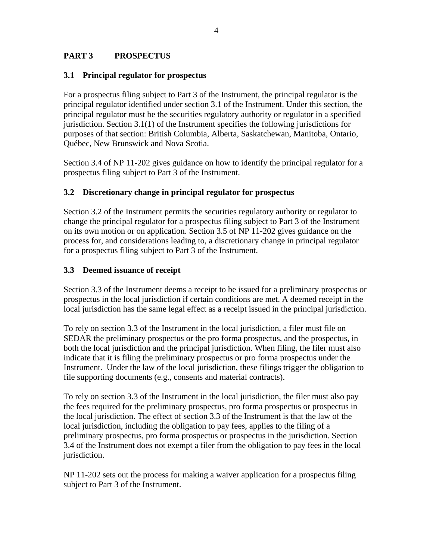#### <span id="page-4-0"></span>**PART 3 PROSPECTUS**

#### **3.1 Principal regulator for prospectus**

For a prospectus filing subject to Part 3 of the Instrument, the principal regulator is the principal regulator identified under section 3.1 of the Instrument. Under this section, the principal regulator must be the securities regulatory authority or regulator in a specified jurisdiction. Section 3.1(1) of the Instrument specifies the following jurisdictions for purposes of that section: British Columbia, Alberta, Saskatchewan, Manitoba, Ontario, Québec, New Brunswick and Nova Scotia.

Section 3.4 of NP 11-202 gives guidance on how to identify the principal regulator for a prospectus filing subject to Part 3 of the Instrument.

### **3.2 Discretionary change in principal regulator for prospectus**

Section 3.2 of the Instrument permits the securities regulatory authority or regulator to change the principal regulator for a prospectus filing subject to Part 3 of the Instrument on its own motion or on application. Section 3.5 of NP 11-202 gives guidance on the process for, and considerations leading to, a discretionary change in principal regulator for a prospectus filing subject to Part 3 of the Instrument.

#### **3.3 Deemed issuance of receipt**

Section 3.3 of the Instrument deems a receipt to be issued for a preliminary prospectus or prospectus in the local jurisdiction if certain conditions are met. A deemed receipt in the local jurisdiction has the same legal effect as a receipt issued in the principal jurisdiction.

To rely on section 3.3 of the Instrument in the local jurisdiction, a filer must file on SEDAR the preliminary prospectus or the pro forma prospectus, and the prospectus, in both the local jurisdiction and the principal jurisdiction. When filing, the filer must also indicate that it is filing the preliminary prospectus or pro forma prospectus under the Instrument. Under the law of the local jurisdiction, these filings trigger the obligation to file supporting documents (e.g., consents and material contracts).

To rely on section 3.3 of the Instrument in the local jurisdiction, the filer must also pay the fees required for the preliminary prospectus, pro forma prospectus or prospectus in the local jurisdiction. The effect of section 3.3 of the Instrument is that the law of the local jurisdiction, including the obligation to pay fees, applies to the filing of a preliminary prospectus, pro forma prospectus or prospectus in the jurisdiction. Section 3.4 of the Instrument does not exempt a filer from the obligation to pay fees in the local jurisdiction.

NP 11-202 sets out the process for making a waiver application for a prospectus filing subject to Part 3 of the Instrument.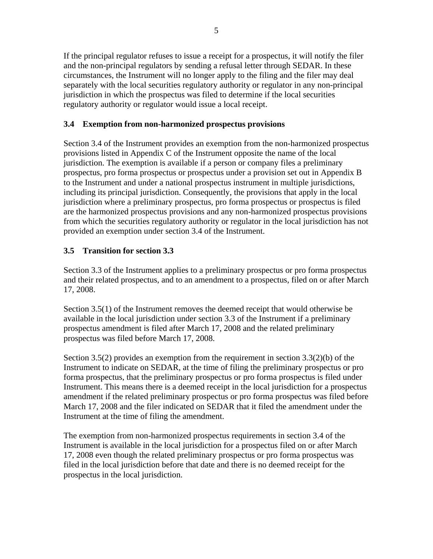<span id="page-5-0"></span>If the principal regulator refuses to issue a receipt for a prospectus, it will notify the filer and the non-principal regulators by sending a refusal letter through SEDAR. In these circumstances, the Instrument will no longer apply to the filing and the filer may deal separately with the local securities regulatory authority or regulator in any non-principal jurisdiction in which the prospectus was filed to determine if the local securities regulatory authority or regulator would issue a local receipt.

### **3.4 Exemption from non-harmonized prospectus provisions**

Section 3.4 of the Instrument provides an exemption from the non-harmonized prospectus provisions listed in Appendix C of the Instrument opposite the name of the local jurisdiction. The exemption is available if a person or company files a preliminary prospectus, pro forma prospectus or prospectus under a provision set out in Appendix B to the Instrument and under a national prospectus instrument in multiple jurisdictions, including its principal jurisdiction. Consequently, the provisions that apply in the local jurisdiction where a preliminary prospectus, pro forma prospectus or prospectus is filed are the harmonized prospectus provisions and any non-harmonized prospectus provisions from which the securities regulatory authority or regulator in the local jurisdiction has not provided an exemption under section 3.4 of the Instrument.

## **3.5 Transition for section 3.3**

Section 3.3 of the Instrument applies to a preliminary prospectus or pro forma prospectus and their related prospectus, and to an amendment to a prospectus, filed on or after March 17, 2008.

Section 3.5(1) of the Instrument removes the deemed receipt that would otherwise be available in the local jurisdiction under section 3.3 of the Instrument if a preliminary prospectus amendment is filed after March 17, 2008 and the related preliminary prospectus was filed before March 17, 2008.

Section 3.5(2) provides an exemption from the requirement in section  $3.3(2)(b)$  of the Instrument to indicate on SEDAR, at the time of filing the preliminary prospectus or pro forma prospectus, that the preliminary prospectus or pro forma prospectus is filed under Instrument. This means there is a deemed receipt in the local jurisdiction for a prospectus amendment if the related preliminary prospectus or pro forma prospectus was filed before March 17, 2008 and the filer indicated on SEDAR that it filed the amendment under the Instrument at the time of filing the amendment.

The exemption from non-harmonized prospectus requirements in section 3.4 of the Instrument is available in the local jurisdiction for a prospectus filed on or after March 17, 2008 even though the related preliminary prospectus or pro forma prospectus was filed in the local jurisdiction before that date and there is no deemed receipt for the prospectus in the local jurisdiction.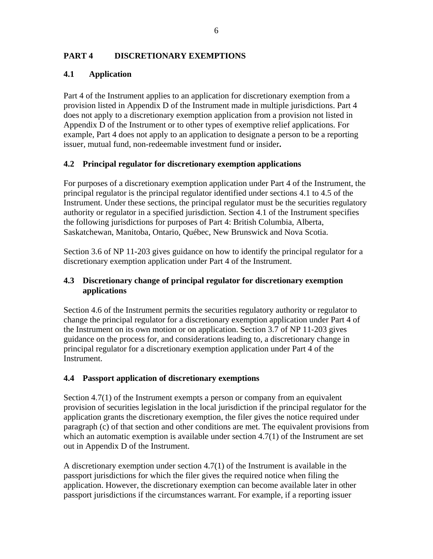### <span id="page-6-0"></span>**PART 4 DISCRETIONARY EXEMPTIONS**

### **4.1 Application**

Part 4 of the Instrument applies to an application for discretionary exemption from a provision listed in Appendix D of the Instrument made in multiple jurisdictions. Part 4 does not apply to a discretionary exemption application from a provision not listed in Appendix D of the Instrument or to other types of exemptive relief applications. For example, Part 4 does not apply to an application to designate a person to be a reporting issuer, mutual fund, non-redeemable investment fund or insider**.** 

### **4.2 Principal regulator for discretionary exemption applications**

For purposes of a discretionary exemption application under Part 4 of the Instrument, the principal regulator is the principal regulator identified under sections 4.1 to 4.5 of the Instrument. Under these sections, the principal regulator must be the securities regulatory authority or regulator in a specified jurisdiction. Section 4.1 of the Instrument specifies the following jurisdictions for purposes of Part 4: British Columbia, Alberta, Saskatchewan, Manitoba, Ontario, Québec, New Brunswick and Nova Scotia.

Section 3.6 of NP 11-203 gives guidance on how to identify the principal regulator for a discretionary exemption application under Part 4 of the Instrument.

### **4.3 Discretionary change of principal regulator for discretionary exemption applications**

Section 4.6 of the Instrument permits the securities regulatory authority or regulator to change the principal regulator for a discretionary exemption application under Part 4 of the Instrument on its own motion or on application. Section 3.7 of NP 11-203 gives guidance on the process for, and considerations leading to, a discretionary change in principal regulator for a discretionary exemption application under Part 4 of the Instrument.

## **4.4 Passport application of discretionary exemptions**

Section 4.7(1) of the Instrument exempts a person or company from an equivalent provision of securities legislation in the local jurisdiction if the principal regulator for the application grants the discretionary exemption, the filer gives the notice required under paragraph (c) of that section and other conditions are met. The equivalent provisions from which an automatic exemption is available under section 4.7(1) of the Instrument are set out in Appendix D of the Instrument.

A discretionary exemption under section 4.7(1) of the Instrument is available in the passport jurisdictions for which the filer gives the required notice when filing the application. However, the discretionary exemption can become available later in other passport jurisdictions if the circumstances warrant. For example, if a reporting issuer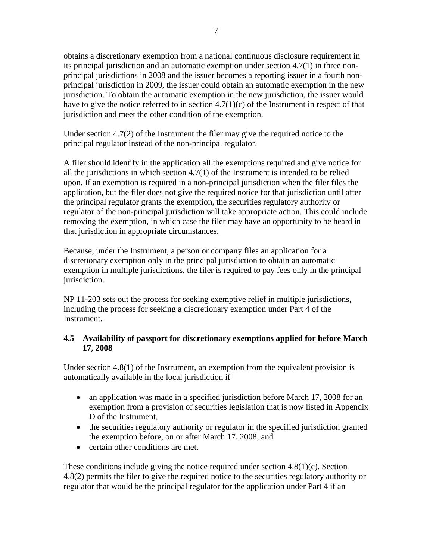<span id="page-7-0"></span>obtains a discretionary exemption from a national continuous disclosure requirement in its principal jurisdiction and an automatic exemption under section 4.7(1) in three nonprincipal jurisdictions in 2008 and the issuer becomes a reporting issuer in a fourth nonprincipal jurisdiction in 2009, the issuer could obtain an automatic exemption in the new jurisdiction. To obtain the automatic exemption in the new jurisdiction, the issuer would have to give the notice referred to in section 4.7(1)(c) of the Instrument in respect of that jurisdiction and meet the other condition of the exemption.

Under section  $4.7(2)$  of the Instrument the filer may give the required notice to the principal regulator instead of the non-principal regulator.

A filer should identify in the application all the exemptions required and give notice for all the jurisdictions in which section 4.7(1) of the Instrument is intended to be relied upon. If an exemption is required in a non-principal jurisdiction when the filer files the application, but the filer does not give the required notice for that jurisdiction until after the principal regulator grants the exemption, the securities regulatory authority or regulator of the non-principal jurisdiction will take appropriate action. This could include removing the exemption, in which case the filer may have an opportunity to be heard in that jurisdiction in appropriate circumstances.

Because, under the Instrument, a person or company files an application for a discretionary exemption only in the principal jurisdiction to obtain an automatic exemption in multiple jurisdictions, the filer is required to pay fees only in the principal jurisdiction.

NP 11-203 sets out the process for seeking exemptive relief in multiple jurisdictions, including the process for seeking a discretionary exemption under Part 4 of the Instrument.

### **4.5 Availability of passport for discretionary exemptions applied for before March 17, 2008**

Under section 4.8(1) of the Instrument, an exemption from the equivalent provision is automatically available in the local jurisdiction if

- an application was made in a specified jurisdiction before March 17, 2008 for an exemption from a provision of securities legislation that is now listed in Appendix D of the Instrument,
- the securities regulatory authority or regulator in the specified jurisdiction granted the exemption before, on or after March 17, 2008, and
- certain other conditions are met.

These conditions include giving the notice required under section  $4.8(1)(c)$ . Section 4.8(2) permits the filer to give the required notice to the securities regulatory authority or regulator that would be the principal regulator for the application under Part 4 if an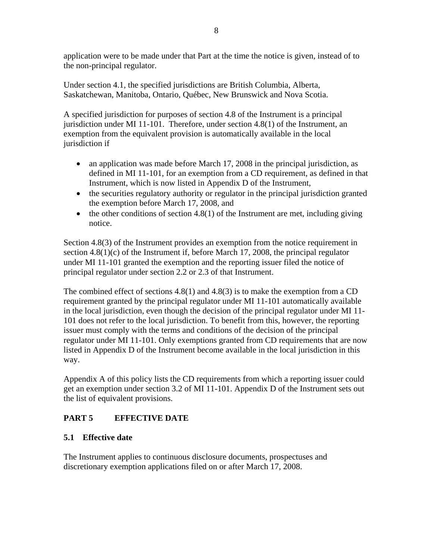<span id="page-8-0"></span>application were to be made under that Part at the time the notice is given, instead of to the non-principal regulator.

Under section 4.1, the specified jurisdictions are British Columbia, Alberta, Saskatchewan, Manitoba, Ontario, Québec, New Brunswick and Nova Scotia.

A specified jurisdiction for purposes of section 4.8 of the Instrument is a principal jurisdiction under MI 11-101. Therefore, under section 4.8(1) of the Instrument, an exemption from the equivalent provision is automatically available in the local jurisdiction if

- an application was made before March 17, 2008 in the principal jurisdiction, as defined in MI 11-101, for an exemption from a CD requirement, as defined in that Instrument, which is now listed in Appendix D of the Instrument,
- the securities regulatory authority or regulator in the principal jurisdiction granted the exemption before March 17, 2008, and
- $\bullet$  the other conditions of section 4.8(1) of the Instrument are met, including giving notice.

Section 4.8(3) of the Instrument provides an exemption from the notice requirement in section 4.8(1)(c) of the Instrument if, before March 17, 2008, the principal regulator under MI 11-101 granted the exemption and the reporting issuer filed the notice of principal regulator under section 2.2 or 2.3 of that Instrument.

The combined effect of sections 4.8(1) and 4.8(3) is to make the exemption from a CD requirement granted by the principal regulator under MI 11-101 automatically available in the local jurisdiction, even though the decision of the principal regulator under MI 11- 101 does not refer to the local jurisdiction. To benefit from this, however, the reporting issuer must comply with the terms and conditions of the decision of the principal regulator under MI 11-101. Only exemptions granted from CD requirements that are now listed in Appendix D of the Instrument become available in the local jurisdiction in this way.

Appendix A of this policy lists the CD requirements from which a reporting issuer could get an exemption under section 3.2 of MI 11-101. Appendix D of the Instrument sets out the list of equivalent provisions.

## **PART 5 EFFECTIVE DATE**

### **5.1 Effective date**

The Instrument applies to continuous disclosure documents, prospectuses and discretionary exemption applications filed on or after March 17, 2008.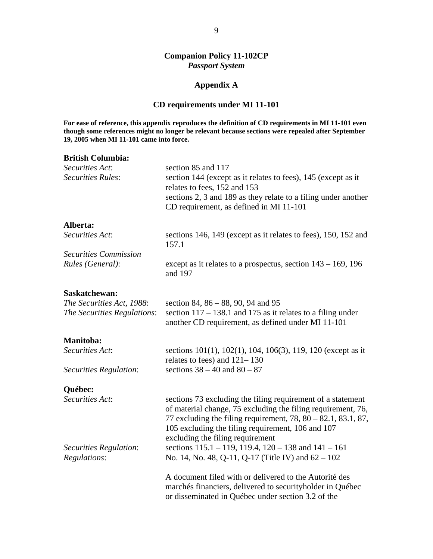#### **Companion Policy 11-102CP**  *Passport System*

#### **Appendix A**

#### **CD requirements under MI 11-101**

<span id="page-9-0"></span>**For ease of reference, this appendix reproduces the definition of CD requirements in MI 11-101 even though some references might no longer be relevant because sections were repealed after September 19, 2005 when MI 11-101 came into force.** 

# **British Columbia:**  *Securities Act*: section 85 and 117 *Securities Rules*: section 144 (except as it relates to fees), 145 (except as it relates to fees, 152 and 153 sections 2, 3 and 189 as they relate to a filing under another CD requirement, as defined in MI 11-101 **Alberta:**  *Securities Act*: **sections 146, 149 (except as it relates to fees), 150, 152 and** 157.1 *Securities Commission Rules (General)*: except as it relates to a prospectus, section 143 – 169, 196 and 197 **Saskatchewan:**  *The Securities Act, 1988*: section 84, 86 – 88, 90, 94 and 95 *The Securities Regulations*: section 117 – 138.1 and 175 as it relates to a filing under another CD requirement, as defined under MI 11-101 **Manitoba:**  *Securities Act*: sections 101(1), 102(1), 104, 106(3), 119, 120 (except as it relates to fees) and 121– 130 *Securities Regulation*: sections 38 – 40 and 80 – 87 **Québec:**  *Securities Act*: sections 73 excluding the filing requirement of a statement of material change, 75 excluding the filing requirement, 76, 77 excluding the filing requirement, 78, 80 – 82.1, 83.1, 87, 105 excluding the filing requirement, 106 and 107 excluding the filing requirement *Securities Regulation*: sections 115.1 – 119, 119.4, 120 – 138 and 141 – 161 *Regulations*: No. 14, No. 48, Q-11, Q-17 (Title IV) and 62 – 102 A document filed with or delivered to the Autorité des marchés financiers, delivered to securityholder in Québec

or disseminated in Québec under section 3.2 of the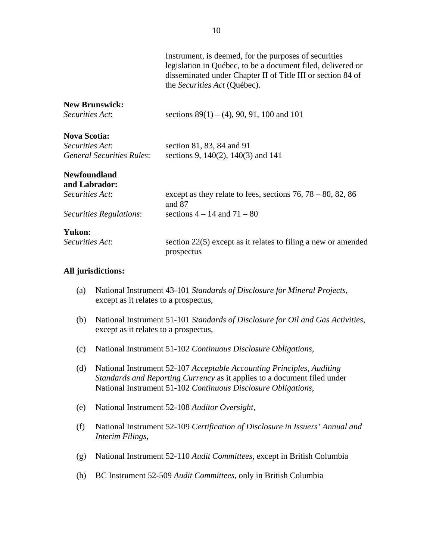|                                                     | Instrument, is deemed, for the purposes of securities<br>legislation in Québec, to be a document filed, delivered or<br>disseminated under Chapter II of Title III or section 84 of<br>the Securities Act (Québec). |
|-----------------------------------------------------|---------------------------------------------------------------------------------------------------------------------------------------------------------------------------------------------------------------------|
| <b>New Brunswick:</b><br><i>Securities Act:</i>     | sections $89(1) - (4)$ , 90, 91, 100 and 101                                                                                                                                                                        |
| <b>Nova Scotia:</b>                                 |                                                                                                                                                                                                                     |
| Securities Act:<br><i>General Securities Rules:</i> | section 81, 83, 84 and 91<br>sections 9, 140(2), 140(3) and 141                                                                                                                                                     |
| <b>Newfoundland</b><br>and Labrador:                |                                                                                                                                                                                                                     |
| Securities Act:                                     | except as they relate to fees, sections $76, 78 - 80, 82, 86$<br>and 87                                                                                                                                             |
| Securities Regulations:                             | sections $4 - 14$ and $71 - 80$                                                                                                                                                                                     |
| <b>Yukon:</b>                                       |                                                                                                                                                                                                                     |
| <i>Securities Act:</i>                              | section $22(5)$ except as it relates to filing a new or amended<br>prospectus                                                                                                                                       |
|                                                     |                                                                                                                                                                                                                     |

#### **All jurisdictions:**

- (a) National Instrument 43-101 *Standards of Disclosure for Mineral Projects*, except as it relates to a prospectus,
- (b) National Instrument 51-101 *Standards of Disclosure for Oil and Gas Activities*, except as it relates to a prospectus,
- (c) National Instrument 51-102 *Continuous Disclosure Obligations*,
- (d) National Instrument 52-107 *Acceptable Accounting Principles, Auditing Standards and Reporting Currency* as it applies to a document filed under National Instrument 51-102 *Continuous Disclosure Obligations*,
- (e) National Instrument 52-108 *Auditor Oversight*,
- (f) National Instrument 52-109 *Certification of Disclosure in Issuers' Annual and Interim Filings*,
- (g) National Instrument 52-110 *Audit Committees*, except in British Columbia
- (h) BC Instrument 52-509 *Audit Committees*, only in British Columbia